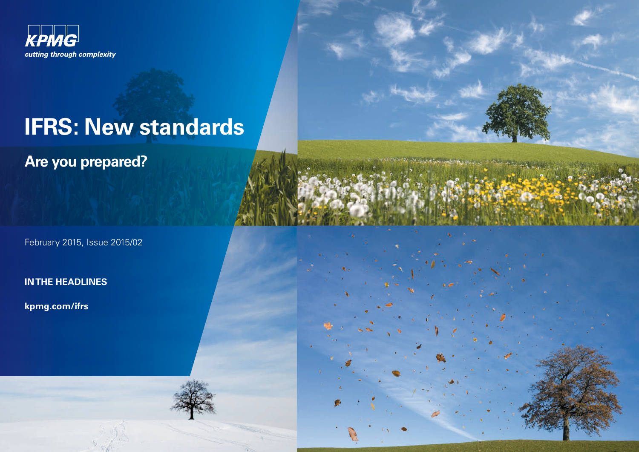

# **IFRS: New standards**

**Are you prepared?**

February 2015, Issue 2015/02

**IN THE HEADLINES**

**kpmg.com/ifrs**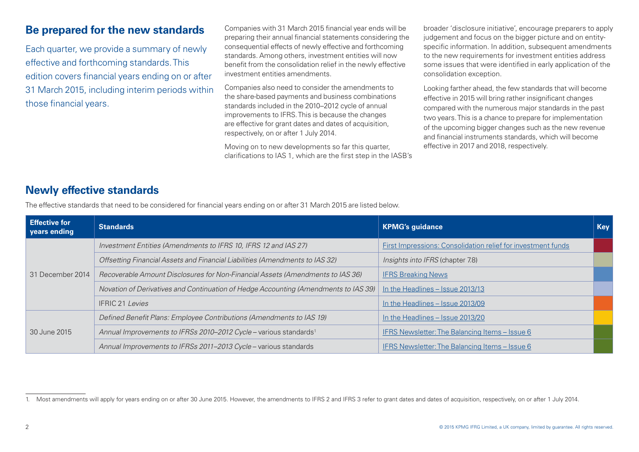# **Be prepared for the new standards**

Each quarter, we provide a summary of newly effective and forthcoming standards. This edition covers financial years ending on or after 31 March 2015, including interim periods within those financial years.

Companies with 31 March 2015 financial year ends will be preparing their annual financial statements considering the consequential effects of newly effective and forthcoming standards. Among others, investment entities will now benefit from the consolidation relief in the newly effective investment entities amendments.

Companies also need to consider the amendments to the share-based payments and business combinations standards included in the 2010–2012 cycle of annual improvements to IFRS. This is because the changes are effective for grant dates and dates of acquisition, respectively, on or after 1 July 2014.

Moving on to new developments so far this quarter, clarifications to IAS 1, which are the first step in the IASB's broader 'disclosure initiative', encourage preparers to apply judgement and focus on the bigger picture and on entityspecific information. In addition, subsequent amendments to the new requirements for investment entities address some issues that were identified in early application of the consolidation exception.

Looking farther ahead, the few standards that will become effective in 2015 will bring rather insignificant changes compared with the numerous major standards in the past two years. This is a chance to prepare for implementation of the upcoming bigger changes such as the new revenue and financial instruments standards, which will become effective in 2017 and 2018, respectively.

# **Newly effective standards**

The effective standards that need to be considered for financial years ending on or after 31 March 2015 are listed below.

| <b>Effective for</b><br>years ending | <b>Standards</b>                                                                    | <b>KPMG's guidance</b>                                              | <b>Key</b> |
|--------------------------------------|-------------------------------------------------------------------------------------|---------------------------------------------------------------------|------------|
| 31 December 2014                     | Investment Entities (Amendments to IFRS 10, IFRS 12 and IAS 27)                     | <b>First Impressions: Consolidation relief for investment funds</b> |            |
|                                      | Offsetting Financial Assets and Financial Liabilities (Amendments to IAS 32)        | Insights into IFRS (chapter 7.8)                                    |            |
|                                      | Recoverable Amount Disclosures for Non-Financial Assets (Amendments to IAS 36)      | <b>IFRS Breaking News</b>                                           |            |
|                                      | Novation of Derivatives and Continuation of Hedge Accounting (Amendments to IAS 39) | In the Headlines – Issue 2013/13                                    |            |
|                                      | <b>IFRIC 21 Levies</b>                                                              | In the Headlines - Issue 2013/09                                    |            |
| 30 June 2015                         | Defined Benefit Plans: Employee Contributions (Amendments to IAS 19)                | In the Headlines - Issue 2013/20                                    |            |
|                                      | Annual Improvements to IFRSs 2010-2012 Cycle - various standards <sup>1</sup>       | IFRS Newsletter: The Balancing Items - Issue 6                      |            |
|                                      | Annual Improvements to IFRSs 2011-2013 Cycle - various standards                    | IFRS Newsletter: The Balancing Items - Issue 6                      |            |

<sup>1.</sup> Most amendments will apply for years ending on or after 30 June 2015. However, the amendments to IFRS 2 and IFRS 3 refer to grant dates and dates of acquisition, respectively, on or after 1 July 2014.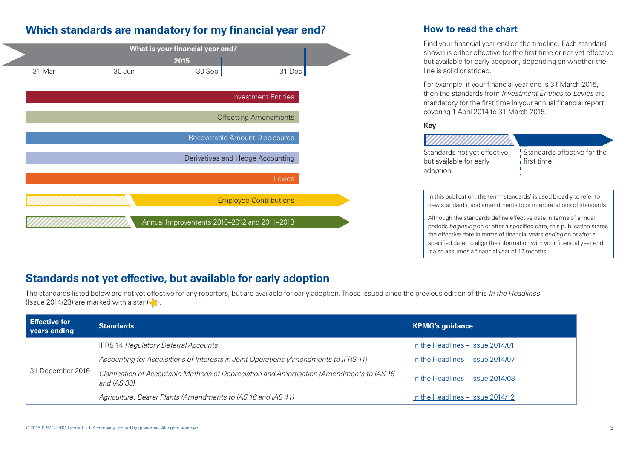# **Which standards are mandatory for my financial year end?**

| What is your financial year end? |        |        |                                             |                                  |  |
|----------------------------------|--------|--------|---------------------------------------------|----------------------------------|--|
|                                  |        |        | 2015                                        |                                  |  |
|                                  | 31 Mar | 30 Jun | 30 Sep                                      | 31 Dec                           |  |
|                                  |        |        |                                             |                                  |  |
|                                  |        |        |                                             | <b>Investment Entities</b>       |  |
|                                  |        |        |                                             | <b>Offsetting Amendments</b>     |  |
|                                  |        |        |                                             | Recoverable Amount Disclosures   |  |
|                                  |        |        |                                             | Derivatives and Hedge Accounting |  |
|                                  |        |        |                                             | Levies                           |  |
|                                  |        |        |                                             | <b>Employee Contributions</b>    |  |
|                                  |        |        | Annual Improvements 2010-2012 and 2011-2013 |                                  |  |

### **How to read the chart**

Find your financial year end on the timeline. Each standard shown is either effective for the first time or not yet effective but available for early adoption, depending on whether the line is solid or striped.

For example, if your financial year end is 31 March 2015, then the standards from *Investment Entities* to *Levies* are mandatory for the first time in your annual financial report covering 1 April 2014 to 31 March 2015.

#### **Key**

| <i>Millittillittillitti</i>  |                             |
|------------------------------|-----------------------------|
| Standards not yet effective, | Standards effective for the |
| but available for early      | i first time.               |
| adoption.                    |                             |
|                              |                             |

In this publication, the term 'standards' is used broadly to refer to new standards, and amendments to or interpretations of standards.

Although the standards define effective date in terms of annual periods *beginning* on or after a specified date, this publication states the effective date in terms of financial years *ending* on or after a specified date, to align the information with your financial year end. It also assumes a financial year of 12 months.

# **Standards not yet effective, but available for early adoption**

The standards listed below are not yet effective for any reporters, but are available for early adoption. Those issued since the previous edition of this *In the Headlines* (Issue 2014/23) are marked with a star  $\langle \cdot \rangle$ .

| Effective for<br>years ending | <b>Standards</b>                                                                                          | KPMG's guidance                  |
|-------------------------------|-----------------------------------------------------------------------------------------------------------|----------------------------------|
|                               | <b>IFRS 14 Regulatory Deferral Accounts</b>                                                               | In the Headlines - Issue 2014/01 |
|                               | Accounting for Acquisitions of Interests in Joint Operations (Amendments to IFRS 11)                      | In the Headlines - Issue 2014/07 |
| 31 December 2016              | Clarification of Acceptable Methods of Depreciation and Amortisation (Amendments to IAS 16<br>and IAS 38) | In the Headlines - Issue 2014/08 |
|                               | Agriculture: Bearer Plants (Amendments to IAS 16 and IAS 41)                                              | In the Headlines – Issue 2014/12 |